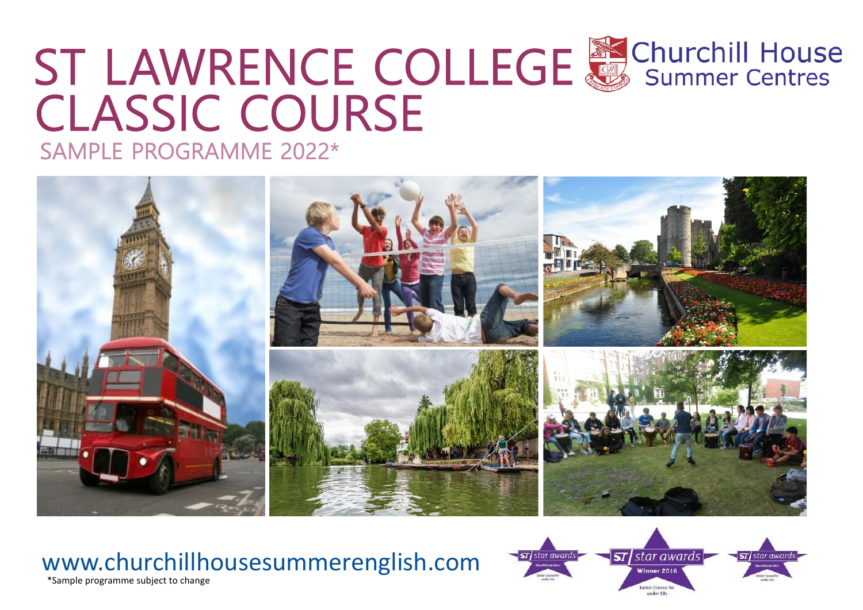# CLASSIC COURSE ST LAWRENCE COLLEGE & Churchill House





#### \*Sample programme subject to change www.churchillhousesummerenglish.com

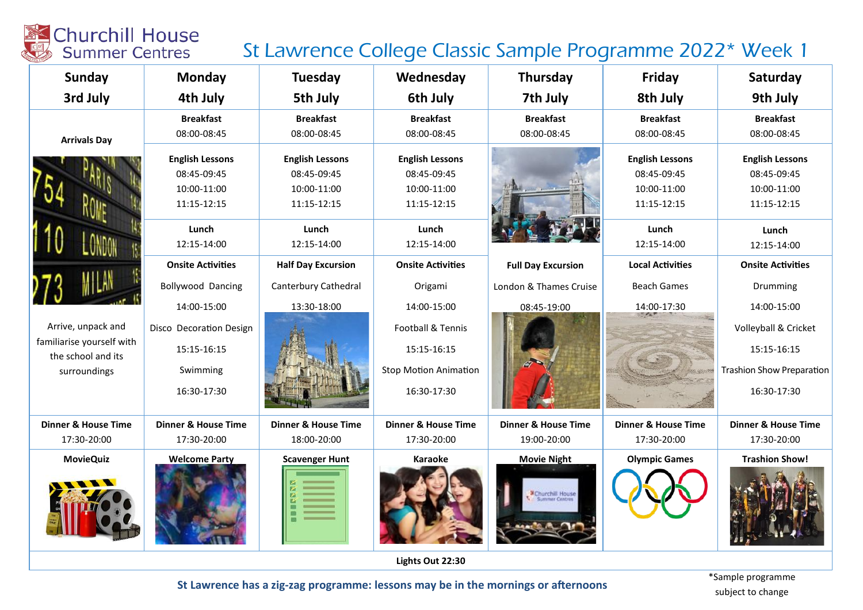### St Lawrence College Classic Sample Programme 2022\* Week 1

| <b>Sunday</b>                                   | <b>Monday</b>                  | <b>Tuesday</b>                 | Wednesday                      | <b>Thursday</b>                | Friday                         | Saturday                         |  |
|-------------------------------------------------|--------------------------------|--------------------------------|--------------------------------|--------------------------------|--------------------------------|----------------------------------|--|
| 3rd July                                        | 4th July                       | 5th July                       | 6th July                       | 7th July                       | 8th July                       | 9th July                         |  |
|                                                 | <b>Breakfast</b>               | <b>Breakfast</b>               | <b>Breakfast</b>               | <b>Breakfast</b>               | <b>Breakfast</b>               | <b>Breakfast</b>                 |  |
| <b>Arrivals Day</b>                             | 08:00-08:45                    | 08:00-08:45                    | 08:00-08:45                    | 08:00-08:45                    | 08:00-08:45                    | 08:00-08:45                      |  |
|                                                 | <b>English Lessons</b>         | <b>English Lessons</b>         | <b>English Lessons</b>         |                                | <b>English Lessons</b>         | <b>English Lessons</b>           |  |
|                                                 | 08:45-09:45                    | 08:45-09:45                    | 08:45-09:45                    |                                | 08:45-09:45                    | 08:45-09:45                      |  |
|                                                 | 10:00-11:00                    | 10:00-11:00                    | 10:00-11:00                    |                                | 10:00-11:00                    | 10:00-11:00                      |  |
|                                                 | 11:15-12:15                    | 11:15-12:15                    | 11:15-12:15                    |                                | 11:15-12:15                    | 11:15-12:15                      |  |
|                                                 | Lunch                          | Lunch                          | Lunch                          |                                | Lunch                          | Lunch                            |  |
|                                                 | 12:15-14:00                    | 12:15-14:00                    | 12:15-14:00                    |                                | 12:15-14:00                    | 12:15-14:00                      |  |
|                                                 | <b>Onsite Activities</b>       | <b>Half Day Excursion</b>      | <b>Onsite Activities</b>       | <b>Full Day Excursion</b>      | <b>Local Activities</b>        | <b>Onsite Activities</b>         |  |
|                                                 | <b>Bollywood Dancing</b>       | Canterbury Cathedral           | Origami                        | London & Thames Cruise         | <b>Beach Games</b>             | Drumming                         |  |
|                                                 | 14:00-15:00                    | 13:30-18:00                    | 14:00-15:00                    | 08:45-19:00                    | 14:00-17:30                    | 14:00-15:00                      |  |
| Arrive, unpack and                              | Disco Decoration Design        |                                | <b>Football &amp; Tennis</b>   |                                |                                | Volleyball & Cricket             |  |
| familiarise yourself with<br>the school and its | 15:15-16:15                    |                                | 15:15-16:15                    |                                |                                | 15:15-16:15                      |  |
| surroundings                                    | Swimming                       |                                | <b>Stop Motion Animation</b>   |                                |                                | <b>Trashion Show Preparation</b> |  |
|                                                 | 16:30-17:30                    |                                | 16:30-17:30                    |                                |                                | 16:30-17:30                      |  |
| <b>Dinner &amp; House Time</b>                  | <b>Dinner &amp; House Time</b> | <b>Dinner &amp; House Time</b> | <b>Dinner &amp; House Time</b> | <b>Dinner &amp; House Time</b> | <b>Dinner &amp; House Time</b> | <b>Dinner &amp; House Time</b>   |  |
| 17:30-20:00                                     | 17:30-20:00                    | 18:00-20:00                    | 17:30-20:00                    | 19:00-20:00                    | 17:30-20:00                    | 17:30-20:00                      |  |
| <b>MovieQuiz</b>                                | <b>Welcome Party</b>           | <b>Scavenger Hunt</b>          | Karaoke                        | <b>Movie Night</b>             | <b>Olympic Games</b>           | <b>Trashion Show!</b>            |  |
|                                                 |                                |                                |                                | Schurchill House               |                                |                                  |  |
| Lights Out 22:30                                |                                |                                |                                |                                |                                |                                  |  |

St Lawrence has a zig-zag programme: lessons may be in the mornings or afternoons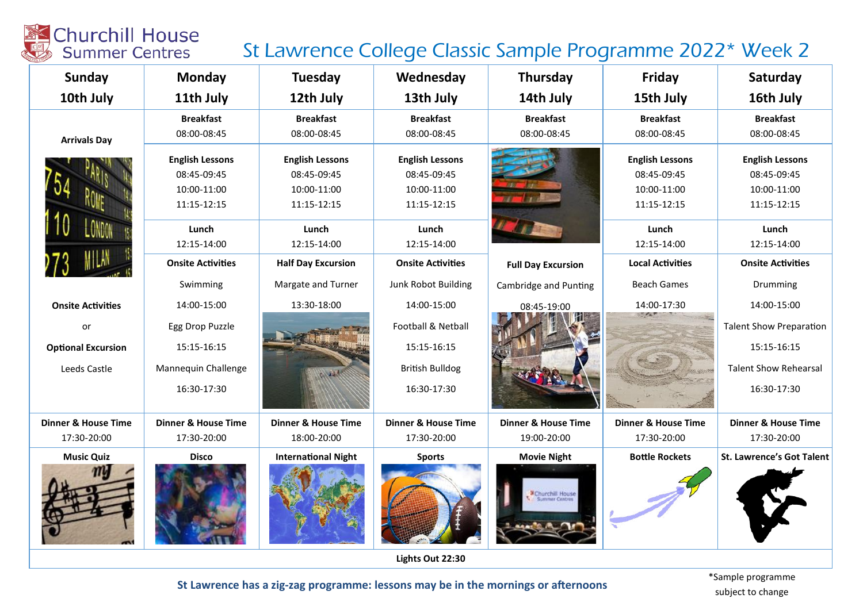#### St Lawrence College Classic Sample Programme 2022\* Week 2

| Sunday                         | <b>Monday</b>                  | <b>Tuesday</b>                 | Wednesday                      | <b>Thursday</b>                | Friday                         | Saturday                         |  |  |
|--------------------------------|--------------------------------|--------------------------------|--------------------------------|--------------------------------|--------------------------------|----------------------------------|--|--|
| 10th July                      | 11th July                      | 12th July                      | 13th July                      | 14th July                      | 15th July                      | 16th July                        |  |  |
|                                | <b>Breakfast</b>               | <b>Breakfast</b>               | <b>Breakfast</b>               | <b>Breakfast</b>               | <b>Breakfast</b>               | <b>Breakfast</b>                 |  |  |
| <b>Arrivals Day</b>            | 08:00-08:45                    | 08:00-08:45                    | 08:00-08:45                    | 08:00-08:45                    | 08:00-08:45                    | 08:00-08:45                      |  |  |
|                                | <b>English Lessons</b>         | <b>English Lessons</b>         | <b>English Lessons</b>         |                                | <b>English Lessons</b>         | <b>English Lessons</b>           |  |  |
|                                | 08:45-09:45                    | 08:45-09:45                    | 08:45-09:45                    |                                | 08:45-09:45                    | 08:45-09:45                      |  |  |
|                                | 10:00-11:00                    | 10:00-11:00                    | 10:00-11:00                    |                                | 10:00-11:00                    | 10:00-11:00                      |  |  |
|                                | 11:15-12:15                    | 11:15-12:15                    | 11:15-12:15                    |                                | 11:15-12:15                    | 11:15-12:15                      |  |  |
|                                | Lunch                          | Lunch                          | Lunch                          |                                | Lunch                          | Lunch                            |  |  |
|                                | 12:15-14:00                    | 12:15-14:00                    | 12:15-14:00                    |                                | 12:15-14:00                    | 12:15-14:00                      |  |  |
|                                | <b>Onsite Activities</b>       | <b>Half Day Excursion</b>      | <b>Onsite Activities</b>       | <b>Full Day Excursion</b>      | <b>Local Activities</b>        | <b>Onsite Activities</b>         |  |  |
|                                | Swimming                       | Margate and Turner             | Junk Robot Building            | Cambridge and Punting          | <b>Beach Games</b>             | Drumming                         |  |  |
| <b>Onsite Activities</b>       | 14:00-15:00                    | 13:30-18:00                    | 14:00-15:00                    | 08:45-19:00                    | 14:00-17:30                    | 14:00-15:00                      |  |  |
| or                             | Egg Drop Puzzle                |                                | Football & Netball             |                                |                                | <b>Talent Show Preparation</b>   |  |  |
| <b>Optional Excursion</b>      | 15:15-16:15                    |                                | 15:15-16:15                    |                                |                                | 15:15-16:15                      |  |  |
| Leeds Castle                   | Mannequin Challenge            |                                | <b>British Bulldog</b>         |                                |                                | <b>Talent Show Rehearsal</b>     |  |  |
|                                | 16:30-17:30                    |                                | 16:30-17:30                    |                                |                                | 16:30-17:30                      |  |  |
| <b>Dinner &amp; House Time</b> | <b>Dinner &amp; House Time</b> | <b>Dinner &amp; House Time</b> | <b>Dinner &amp; House Time</b> | <b>Dinner &amp; House Time</b> | <b>Dinner &amp; House Time</b> | <b>Dinner &amp; House Time</b>   |  |  |
| 17:30-20:00                    | 17:30-20:00                    | 18:00-20:00                    | 17:30-20:00                    | 19:00-20:00                    | 17:30-20:00                    | 17:30-20:00                      |  |  |
| <b>Music Quiz</b>              | <b>Disco</b>                   | <b>International Night</b>     | <b>Sports</b>                  | <b>Movie Night</b>             | <b>Bottle Rockets</b>          | <b>St. Lawrence's Got Talent</b> |  |  |
|                                |                                |                                |                                | Churchill House                |                                |                                  |  |  |
|                                | Lights Out 22:30               |                                |                                |                                |                                |                                  |  |  |

St Lawrence has a zig-zag programme: lessons may be in the mornings or afternoons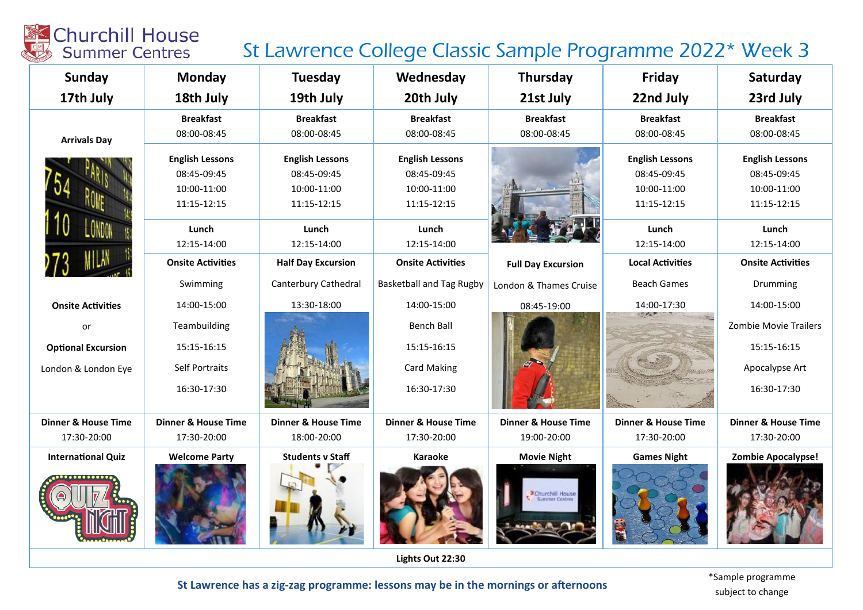### St Lawrence College Classic Sample Programme 2022\* Week 3

| <b>Sunday</b>                  | Monday                         | <b>Tuesday</b>                 | Wednesday                       | Thursday                       | Friday                         | Saturday                       |
|--------------------------------|--------------------------------|--------------------------------|---------------------------------|--------------------------------|--------------------------------|--------------------------------|
| 17th July                      | 18th July                      | 19th July                      | 20th July                       | 21st July                      | 22nd July                      | 23rd July                      |
|                                | <b>Breakfast</b>               | <b>Breakfast</b>               | <b>Breakfast</b>                | <b>Breakfast</b>               | <b>Breakfast</b>               | <b>Breakfast</b>               |
| <b>Arrivals Day</b>            | 08:00-08:45                    | 08:00-08:45                    | 08:00-08:45                     | 08:00-08:45                    | 08:00-08:45                    | 08:00-08:45                    |
|                                | <b>English Lessons</b>         | <b>English Lessons</b>         | <b>English Lessons</b>          |                                | <b>English Lessons</b>         | <b>English Lessons</b>         |
|                                | 08:45-09:45                    | 08:45-09:45                    | 08:45-09:45                     |                                | 08:45-09:45                    | 08:45-09:45                    |
|                                | 10:00-11:00                    | 10:00-11:00                    | 10:00-11:00                     |                                | 10:00-11:00                    | 10:00-11:00                    |
|                                | 11:15-12:15                    | 11:15-12:15                    | $11:15 - 12:15$                 |                                | 11:15-12:15                    | 11:15-12:15                    |
|                                | Lunch                          | Lunch                          | Lunch                           |                                | Lunch                          | Lunch                          |
|                                | 12:15-14:00                    | 12:15-14:00                    | 12:15-14:00                     |                                | 12:15-14:00                    | 12:15-14:00                    |
|                                | <b>Onsite Activities</b>       | <b>Half Day Excursion</b>      | <b>Onsite Activities</b>        | <b>Full Day Excursion</b>      | <b>Local Activities</b>        | <b>Onsite Activities</b>       |
|                                | Swimming                       | Canterbury Cathedral           | <b>Basketball and Tag Rugby</b> | London & Thames Cruise         | <b>Beach Games</b>             | Drumming                       |
| <b>Onsite Activities</b>       | 14:00-15:00                    | 13:30-18:00                    | 14:00-15:00                     | 08:45-19:00                    | 14:00-17:30                    | 14:00-15:00                    |
| or                             | Teambuilding                   |                                | <b>Bench Ball</b>               |                                |                                | <b>Zombie Movie Trailers</b>   |
| <b>Optional Excursion</b>      | 15:15-16:15                    |                                | 15:15-16:15                     |                                |                                | 15:15-16:15                    |
| London & London Eye            | <b>Self Portraits</b>          |                                | <b>Card Making</b>              |                                |                                | Apocalypse Art                 |
|                                | 16:30-17:30                    |                                | 16:30-17:30                     |                                |                                | 16:30-17:30                    |
| <b>Dinner &amp; House Time</b> | <b>Dinner &amp; House Time</b> | <b>Dinner &amp; House Time</b> | <b>Dinner &amp; House Time</b>  | <b>Dinner &amp; House Time</b> | <b>Dinner &amp; House Time</b> | <b>Dinner &amp; House Time</b> |
| 17:30-20:00                    | 17:30-20:00                    | 18:00-20:00                    | 17:30-20:00                     | 19:00-20:00                    | 17:30-20:00                    | 17:30-20:00                    |
| <b>International Quiz</b>      | <b>Welcome Party</b>           | <b>Students v Staff</b>        | <b>Karaoke</b>                  | <b>Movie Night</b>             | <b>Games Night</b>             | <b>Zombie Apocalypse!</b>      |
|                                |                                |                                |                                 | <b>E</b> Churchill House       |                                |                                |

Lights Out 22:30

St Lawrence has a zig-zag programme: lessons may be in the mornings or afternoons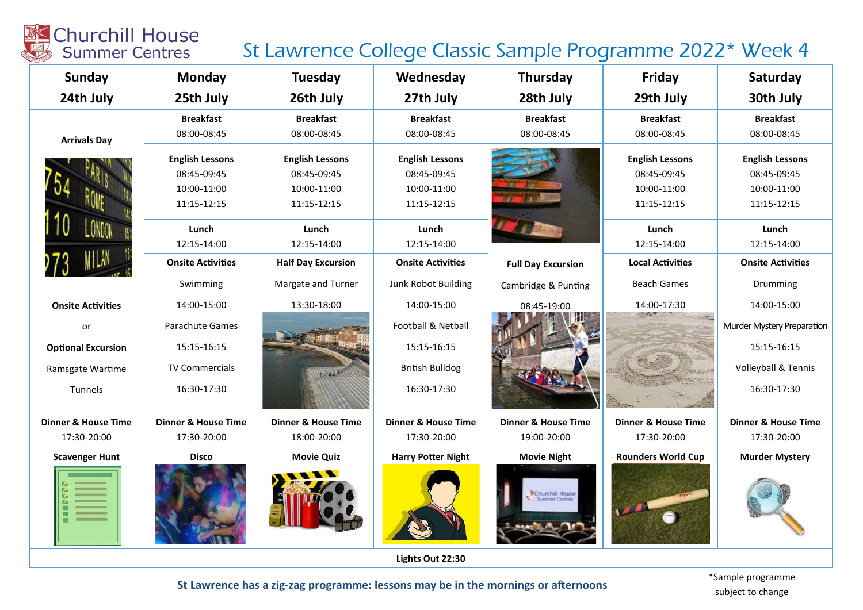#### St Lawrence College Classic Sample Programme 2022\* Week 4

| <b>Sunday</b>                  | <b>Monday</b>                  | <b>Tuesday</b>                 | Wednesday                      | Thursday                       | Friday                         | Saturday                       |
|--------------------------------|--------------------------------|--------------------------------|--------------------------------|--------------------------------|--------------------------------|--------------------------------|
| 24th July                      | 25th July                      | 26th July                      | 27th July                      | 28th July                      | 29th July                      | 30th July                      |
|                                | <b>Breakfast</b>               | <b>Breakfast</b>               | <b>Breakfast</b>               | <b>Breakfast</b>               | <b>Breakfast</b>               | <b>Breakfast</b>               |
| <b>Arrivals Day</b>            | 08:00-08:45                    | 08:00-08:45                    | 08:00-08:45                    | 08:00-08:45                    | 08:00-08:45                    | 08:00-08:45                    |
|                                | <b>English Lessons</b>         | <b>English Lessons</b>         | <b>English Lessons</b>         |                                | <b>English Lessons</b>         | <b>English Lessons</b>         |
|                                | 08:45-09:45                    | 08:45-09:45                    | 08:45-09:45                    |                                | 08:45-09:45                    | 08:45-09:45                    |
|                                | 10:00-11:00                    | 10:00-11:00                    | 10:00-11:00                    |                                | 10:00-11:00                    | 10:00-11:00                    |
|                                | 11:15-12:15                    | 11:15-12:15                    | 11:15-12:15                    |                                | 11:15-12:15                    | 11:15-12:15                    |
|                                | Lunch                          | Lunch                          | Lunch                          |                                | Lunch                          | Lunch                          |
|                                | 12:15-14:00                    | 12:15-14:00                    | 12:15-14:00                    |                                | 12:15-14:00                    | 12:15-14:00                    |
|                                | <b>Onsite Activities</b>       | <b>Half Day Excursion</b>      | <b>Onsite Activities</b>       | <b>Full Day Excursion</b>      | <b>Local Activities</b>        | <b>Onsite Activities</b>       |
|                                | Swimming                       | Margate and Turner             | Junk Robot Building            | Cambridge & Punting            | <b>Beach Games</b>             | Drumming                       |
| <b>Onsite Activities</b>       | 14:00-15:00                    | 13:30-18:00                    | 14:00-15:00                    | 08:45-19:00                    | 14:00-17:30                    | 14:00-15:00                    |
| or                             | Parachute Games                |                                | Football & Netball             |                                |                                | Murder Mystery Preparation     |
| <b>Optional Excursion</b>      | 15:15-16:15                    |                                | 15:15-16:15                    |                                |                                | 15:15-16:15                    |
| Ramsgate Wartime               | <b>TV Commercials</b>          |                                | <b>British Bulldog</b>         |                                |                                | Volleyball & Tennis            |
| Tunnels                        | 16:30-17:30                    |                                | 16:30-17:30                    |                                |                                | 16:30-17:30                    |
| <b>Dinner &amp; House Time</b> | <b>Dinner &amp; House Time</b> | <b>Dinner &amp; House Time</b> | <b>Dinner &amp; House Time</b> | <b>Dinner &amp; House Time</b> | <b>Dinner &amp; House Time</b> | <b>Dinner &amp; House Time</b> |
| 17:30-20:00                    | 17:30-20:00                    | 18:00-20:00                    | 17:30-20:00                    | 19:00-20:00                    | 17:30-20:00                    | 17:30-20:00                    |
| <b>Scavenger Hunt</b>          | <b>Disco</b>                   | <b>Movie Quiz</b>              | <b>Harry Potter Night</b>      | <b>Movie Night</b>             | <b>Rounders World Cup</b>      | <b>Murder Mystery</b>          |
|                                |                                |                                |                                | <b>EChurchill House</b>        |                                |                                |

Lights Out 22:30

St Lawrence has a zig-zag programme: lessons may be in the mornings or afternoons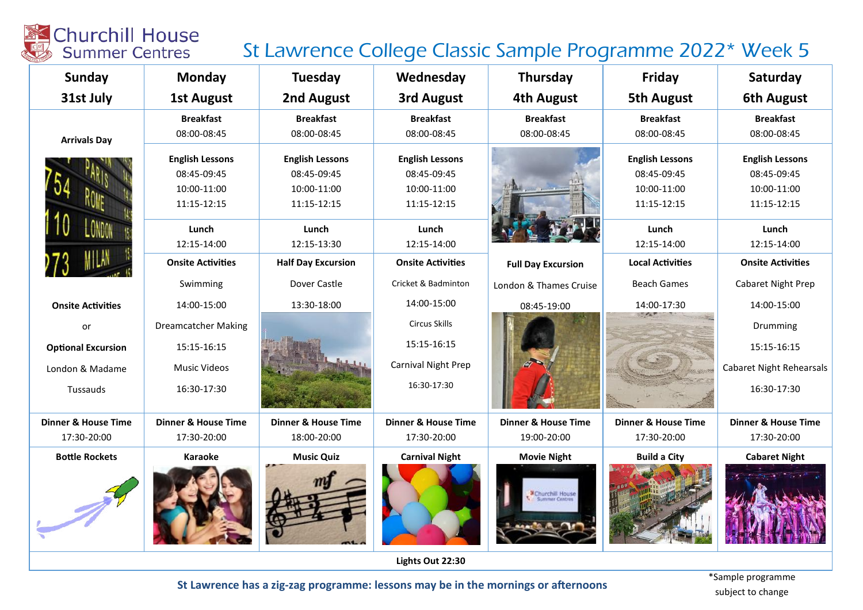### St Lawrence College Classic Sample Programme 2022\* Week 5

| Sunday                                                                                     | <b>Monday</b>                                                                                                           | Tuesday                                                                                                                  | Wednesday                                                                                                               | <b>Thursday</b>                        | Friday                                                                                                                 | Saturday                                                                                                                |
|--------------------------------------------------------------------------------------------|-------------------------------------------------------------------------------------------------------------------------|--------------------------------------------------------------------------------------------------------------------------|-------------------------------------------------------------------------------------------------------------------------|----------------------------------------|------------------------------------------------------------------------------------------------------------------------|-------------------------------------------------------------------------------------------------------------------------|
| 31st July                                                                                  | <b>1st August</b>                                                                                                       | 2nd August                                                                                                               | 3rd August                                                                                                              | <b>4th August</b>                      | <b>5th August</b>                                                                                                      | <b>6th August</b>                                                                                                       |
| <b>Arrivals Day</b>                                                                        | <b>Breakfast</b><br>08:00-08:45                                                                                         | <b>Breakfast</b><br>08:00-08:45                                                                                          | <b>Breakfast</b><br>08:00-08:45                                                                                         | <b>Breakfast</b><br>08:00-08:45        | <b>Breakfast</b><br>08:00-08:45                                                                                        | <b>Breakfast</b><br>08:00-08:45                                                                                         |
|                                                                                            | <b>English Lessons</b><br>08:45-09:45<br>10:00-11:00<br>11:15-12:15<br>Lunch<br>12:15-14:00<br><b>Onsite Activities</b> | <b>English Lessons</b><br>08:45-09:45<br>10:00-11:00<br>11:15-12:15<br>Lunch<br>12:15-13:30<br><b>Half Day Excursion</b> | <b>English Lessons</b><br>08:45-09:45<br>10:00-11:00<br>11:15-12:15<br>Lunch<br>12:15-14:00<br><b>Onsite Activities</b> | <b>Full Day Excursion</b>              | <b>English Lessons</b><br>08:45-09:45<br>10:00-11:00<br>11:15-12:15<br>Lunch<br>12:15-14:00<br><b>Local Activities</b> | <b>English Lessons</b><br>08:45-09:45<br>10:00-11:00<br>11:15-12:15<br>Lunch<br>12:15-14:00<br><b>Onsite Activities</b> |
|                                                                                            | Swimming                                                                                                                | Dover Castle                                                                                                             | Cricket & Badminton                                                                                                     | London & Thames Cruise                 | <b>Beach Games</b>                                                                                                     | Cabaret Night Prep                                                                                                      |
| <b>Onsite Activities</b><br>or<br><b>Optional Excursion</b><br>London & Madame<br>Tussauds | 14:00-15:00<br><b>Dreamcatcher Making</b><br>15:15-16:15<br><b>Music Videos</b><br>16:30-17:30                          | 13:30-18:00                                                                                                              | 14:00-15:00<br><b>Circus Skills</b><br>15:15-16:15<br>Carnival Night Prep<br>16:30-17:30                                | 08:45-19:00                            | 14:00-17:30                                                                                                            | 14:00-15:00<br>Drumming<br>15:15-16:15<br><b>Cabaret Night Rehearsals</b><br>16:30-17:30                                |
| <b>Dinner &amp; House Time</b>                                                             | <b>Dinner &amp; House Time</b>                                                                                          | <b>Dinner &amp; House Time</b>                                                                                           | <b>Dinner &amp; House Time</b>                                                                                          | <b>Dinner &amp; House Time</b>         | <b>Dinner &amp; House Time</b>                                                                                         | <b>Dinner &amp; House Time</b>                                                                                          |
| 17:30-20:00                                                                                | 17:30-20:00                                                                                                             | 18:00-20:00                                                                                                              | 17:30-20:00                                                                                                             | 19:00-20:00                            | 17:30-20:00                                                                                                            | 17:30-20:00                                                                                                             |
| <b>Bottle Rockets</b>                                                                      | <b>Karaoke</b>                                                                                                          | <b>Music Quiz</b>                                                                                                        | <b>Carnival Night</b>                                                                                                   | <b>Movie Night</b><br>Schurchill House | <b>Build a City</b>                                                                                                    | <b>Cabaret Night</b>                                                                                                    |

Lights Out 22:30

St Lawrence has a zig-zag programme: lessons may be in the mornings or afternoons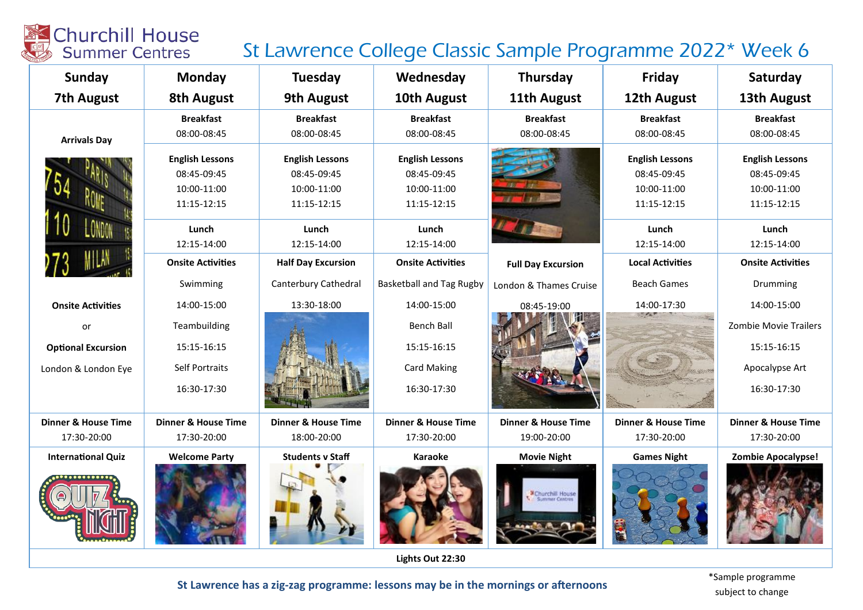### St Lawrence College Classic Sample Programme 2022\* Week 6

| <b>Sunday</b>                  | <b>Monday</b>                  | Tuesday                        | Wednesday                       | Thursday                       | Friday                         | Saturday                       |
|--------------------------------|--------------------------------|--------------------------------|---------------------------------|--------------------------------|--------------------------------|--------------------------------|
| <b>7th August</b>              | <b>8th August</b>              | <b>9th August</b>              | 10th August                     | 11th August                    | 12th August                    | 13th August                    |
|                                | <b>Breakfast</b>               | <b>Breakfast</b>               | <b>Breakfast</b>                | <b>Breakfast</b>               | <b>Breakfast</b>               | <b>Breakfast</b>               |
| <b>Arrivals Day</b>            | 08:00-08:45                    | 08:00-08:45                    | 08:00-08:45                     | 08:00-08:45                    | 08:00-08:45                    | 08:00-08:45                    |
|                                | <b>English Lessons</b>         | <b>English Lessons</b>         | <b>English Lessons</b>          |                                | <b>English Lessons</b>         | <b>English Lessons</b>         |
|                                | 08:45-09:45                    | 08:45-09:45                    | 08:45-09:45                     |                                | 08:45-09:45                    | 08:45-09:45                    |
|                                | 10:00-11:00                    | 10:00-11:00                    | 10:00-11:00                     |                                | 10:00-11:00                    | 10:00-11:00                    |
|                                | 11:15-12:15                    | 11:15-12:15                    | 11:15-12:15                     |                                | 11:15-12:15                    | 11:15-12:15                    |
|                                | Lunch                          | Lunch                          | Lunch                           |                                | Lunch                          | Lunch                          |
|                                | 12:15-14:00                    | 12:15-14:00                    | 12:15-14:00                     |                                | 12:15-14:00                    | 12:15-14:00                    |
|                                | <b>Onsite Activities</b>       | <b>Half Day Excursion</b>      | <b>Onsite Activities</b>        | <b>Full Day Excursion</b>      | <b>Local Activities</b>        | <b>Onsite Activities</b>       |
|                                | Swimming                       | Canterbury Cathedral           | <b>Basketball and Tag Rugby</b> | London & Thames Cruise         | <b>Beach Games</b>             | Drumming                       |
| <b>Onsite Activities</b>       | 14:00-15:00                    | 13:30-18:00                    | 14:00-15:00                     | 08:45-19:00                    | 14:00-17:30                    | 14:00-15:00                    |
| or                             | Teambuilding                   |                                | <b>Bench Ball</b>               |                                |                                | <b>Zombie Movie Trailers</b>   |
| <b>Optional Excursion</b>      | 15:15-16:15                    |                                | 15:15-16:15                     |                                |                                | 15:15-16:15                    |
| London & London Eye            | <b>Self Portraits</b>          |                                | <b>Card Making</b>              |                                |                                | Apocalypse Art                 |
|                                | 16:30-17:30                    |                                | 16:30-17:30                     |                                |                                | 16:30-17:30                    |
| <b>Dinner &amp; House Time</b> | <b>Dinner &amp; House Time</b> | <b>Dinner &amp; House Time</b> | <b>Dinner &amp; House Time</b>  | <b>Dinner &amp; House Time</b> | <b>Dinner &amp; House Time</b> | <b>Dinner &amp; House Time</b> |
| 17:30-20:00                    | 17:30-20:00                    | 18:00-20:00                    | 17:30-20:00                     | 19:00-20:00                    | 17:30-20:00                    | 17:30-20:00                    |
| <b>International Quiz</b>      | <b>Welcome Party</b>           | <b>Students v Staff</b>        | <b>Karaoke</b>                  | <b>Movie Night</b>             | <b>Games Night</b>             | <b>Zombie Apocalypse!</b>      |
|                                |                                |                                |                                 | Churchill House                |                                |                                |

Lights Out 22:30

St Lawrence has a zig-zag programme: lessons may be in the mornings or afternoons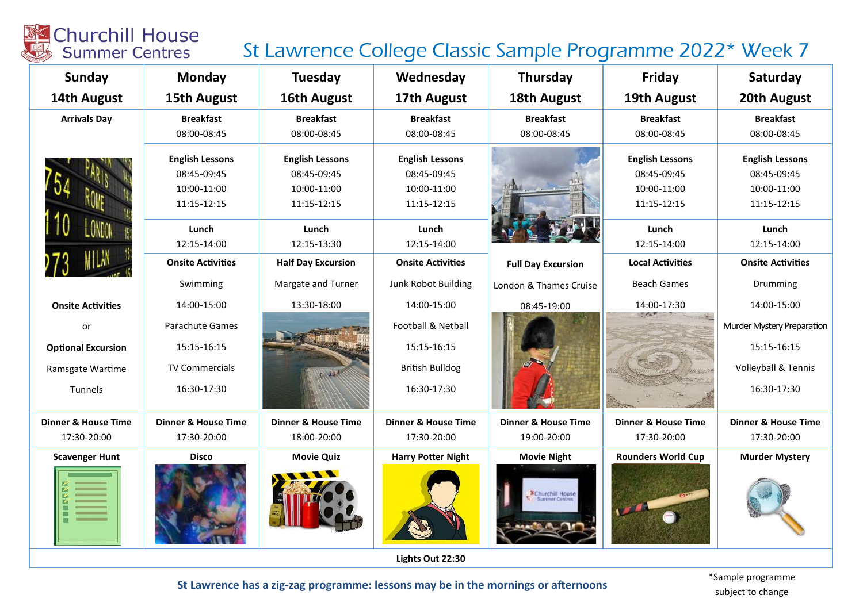

### St Lawrence College Classic Sample Programme 2022\* Week 7

| Sunday                         | Monday                         | Tuesday                        | Wednesday                      | Thursday                       | Friday                         | Saturday                       |  |
|--------------------------------|--------------------------------|--------------------------------|--------------------------------|--------------------------------|--------------------------------|--------------------------------|--|
| 14th August                    | 15th August                    | 16th August                    | 17th August                    | <b>18th August</b>             | 19th August                    | 20th August                    |  |
| <b>Arrivals Day</b>            | <b>Breakfast</b>               | <b>Breakfast</b>               | <b>Breakfast</b>               | <b>Breakfast</b>               | <b>Breakfast</b>               | <b>Breakfast</b>               |  |
|                                | 08:00-08:45                    | 08:00-08:45                    | 08:00-08:45                    | 08:00-08:45                    | 08:00-08:45                    | 08:00-08:45                    |  |
|                                | <b>English Lessons</b>         | <b>English Lessons</b>         | <b>English Lessons</b>         |                                | <b>English Lessons</b>         | <b>English Lessons</b>         |  |
|                                | 08:45-09:45                    | 08:45-09:45                    | 08:45-09:45                    |                                | 08:45-09:45                    | 08:45-09:45                    |  |
|                                | 10:00-11:00                    | 10:00-11:00                    | 10:00-11:00                    |                                | 10:00-11:00                    | 10:00-11:00                    |  |
|                                | 11:15-12:15                    | 11:15-12:15                    | 11:15-12:15                    |                                | 11:15-12:15                    | 11:15-12:15                    |  |
|                                | Lunch                          | Lunch                          | Lunch                          |                                | Lunch                          | Lunch                          |  |
|                                | 12:15-14:00                    | 12:15-13:30                    | 12:15-14:00                    |                                | 12:15-14:00                    | 12:15-14:00                    |  |
|                                | <b>Onsite Activities</b>       | <b>Half Day Excursion</b>      | <b>Onsite Activities</b>       | <b>Full Day Excursion</b>      | <b>Local Activities</b>        | <b>Onsite Activities</b>       |  |
|                                | Swimming                       | Margate and Turner             | Junk Robot Building            | London & Thames Cruise         | <b>Beach Games</b>             | Drumming                       |  |
| <b>Onsite Activities</b>       | 14:00-15:00                    | 13:30-18:00                    | 14:00-15:00                    | 08:45-19:00                    | 14:00-17:30                    | 14:00-15:00                    |  |
| or                             | Parachute Games                |                                | Football & Netball             |                                |                                | Murder Mystery Preparation     |  |
| <b>Optional Excursion</b>      | 15:15-16:15                    |                                | 15:15-16:15                    |                                |                                | 15:15-16:15                    |  |
| Ramsgate Wartime               | <b>TV Commercials</b>          |                                | <b>British Bulldog</b>         |                                |                                | Volleyball & Tennis            |  |
| Tunnels                        | 16:30-17:30                    |                                | 16:30-17:30                    |                                |                                | 16:30-17:30                    |  |
| <b>Dinner &amp; House Time</b> | <b>Dinner &amp; House Time</b> | <b>Dinner &amp; House Time</b> | <b>Dinner &amp; House Time</b> | <b>Dinner &amp; House Time</b> | <b>Dinner &amp; House Time</b> | <b>Dinner &amp; House Time</b> |  |
| 17:30-20:00                    | 17:30-20:00                    | 18:00-20:00                    | 17:30-20:00                    | 19:00-20:00                    | 17:30-20:00                    | 17:30-20:00                    |  |
| <b>Scavenger Hunt</b>          | <b>Disco</b>                   | <b>Movie Quiz</b>              | <b>Harry Potter Night</b>      | <b>Movie Night</b>             | <b>Rounders World Cup</b>      | <b>Murder Mystery</b>          |  |
|                                |                                |                                |                                | urchill House                  |                                |                                |  |
| Lights Out 22:30               |                                |                                |                                |                                |                                |                                |  |

St Lawrence has a zig-zag programme: lessons may be in the mornings or afternoons